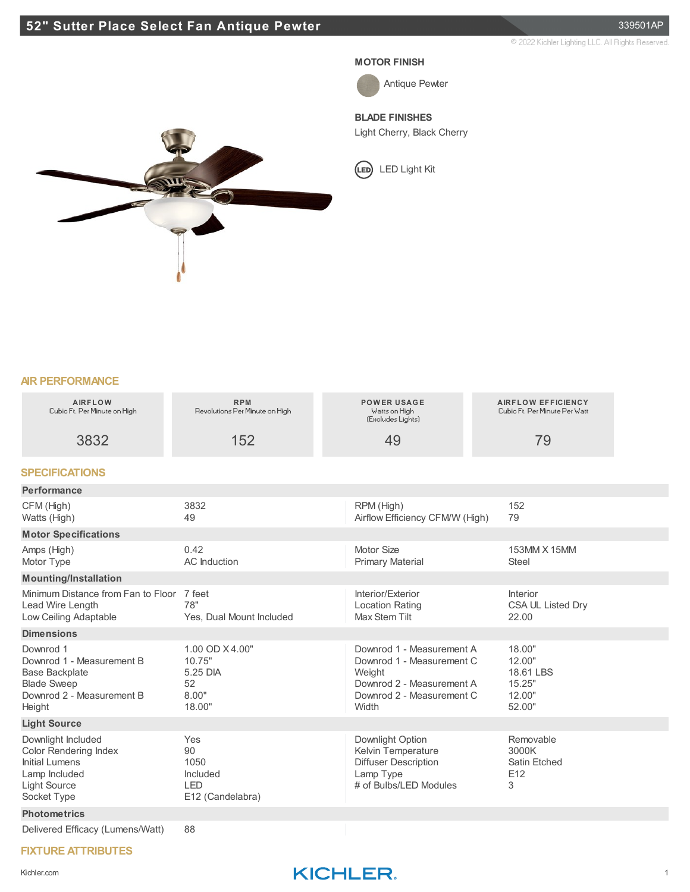## **52" Sutter Place Select Fan Antique Pewter** 339501AP

2022 Kichler Lighting LLC. All Rights Reserved.

#### **MOTOR FINISH**



Antique Pewter

**BLADE FINISHES**

Light Cherry, Black Cherry

LED Light Kit

## **AIR PERFORMANCE**

| <b>AIRFLOW</b><br>Cubio Ft. Per Minute on High                                                                                     | <b>RPM</b><br>Revolutions Per Minute on High                    | <b>POWER USAGE</b><br>Watts on High<br>(Excludes Lights)                                                                            | <b>AIRFLOW EFFICIENCY</b><br>Cubio Ft. Per Minute Per Watt  |
|------------------------------------------------------------------------------------------------------------------------------------|-----------------------------------------------------------------|-------------------------------------------------------------------------------------------------------------------------------------|-------------------------------------------------------------|
| 3832                                                                                                                               | 152                                                             | 49                                                                                                                                  | 79                                                          |
| <b>SPECIFICATIONS</b>                                                                                                              |                                                                 |                                                                                                                                     |                                                             |
| Performance                                                                                                                        |                                                                 |                                                                                                                                     |                                                             |
| CFM (High)<br>Watts (High)                                                                                                         | 3832<br>49                                                      | RPM (High)<br>Airflow Efficiency CFM/W (High)                                                                                       | 152<br>79                                                   |
| <b>Motor Specifications</b>                                                                                                        |                                                                 |                                                                                                                                     |                                                             |
| Amps (High)<br>Motor Type                                                                                                          | 0.42<br><b>AC</b> Induction                                     | Motor Size<br><b>Primary Material</b>                                                                                               | 153MM X 15MM<br><b>Steel</b>                                |
| <b>Mounting/Installation</b>                                                                                                       |                                                                 |                                                                                                                                     |                                                             |
| Minimum Distance from Fan to Floor<br>Lead Wire Length<br>Low Ceiling Adaptable                                                    | 7 feet<br>78"<br>Yes, Dual Mount Included                       | Interior/Exterior<br><b>Location Rating</b><br><b>Max Stem Tilt</b>                                                                 | <b>Interior</b><br>CSA UL Listed Dry<br>22.00               |
| <b>Dimensions</b>                                                                                                                  |                                                                 |                                                                                                                                     |                                                             |
| Downrod 1<br>Downrod 1 - Measurement B<br><b>Base Backplate</b><br><b>Blade Sweep</b><br>Downrod 2 - Measurement B<br>Height       | 1.00 OD X4.00"<br>10.75"<br>5.25 DIA<br>52<br>8.00"<br>18.00"   | Downrod 1 - Measurement A<br>Downrod 1 - Measurement C<br>Weight<br>Downrod 2 - Measurement A<br>Downrod 2 - Measurement C<br>Width | 18.00"<br>12.00"<br>18.61 LBS<br>15.25"<br>12.00"<br>52.00" |
| <b>Light Source</b>                                                                                                                |                                                                 |                                                                                                                                     |                                                             |
| Downlight Included<br><b>Color Rendering Index</b><br><b>Initial Lumens</b><br>Lamp Included<br><b>Light Source</b><br>Socket Type | Yes<br>90<br>1050<br>Included<br><b>LED</b><br>E12 (Candelabra) | Downlight Option<br>Kelvin Temperature<br><b>Diffuser Description</b><br>Lamp Type<br># of Bulbs/LED Modules                        | Removable<br>3000K<br>Satin Etched<br>E12<br>3              |
| <b>Photometrics</b>                                                                                                                |                                                                 |                                                                                                                                     |                                                             |
| Delivered Efficacy (Lumens/Watt)                                                                                                   | 88                                                              |                                                                                                                                     |                                                             |

### **FIXTURE ATTRIBUTES**